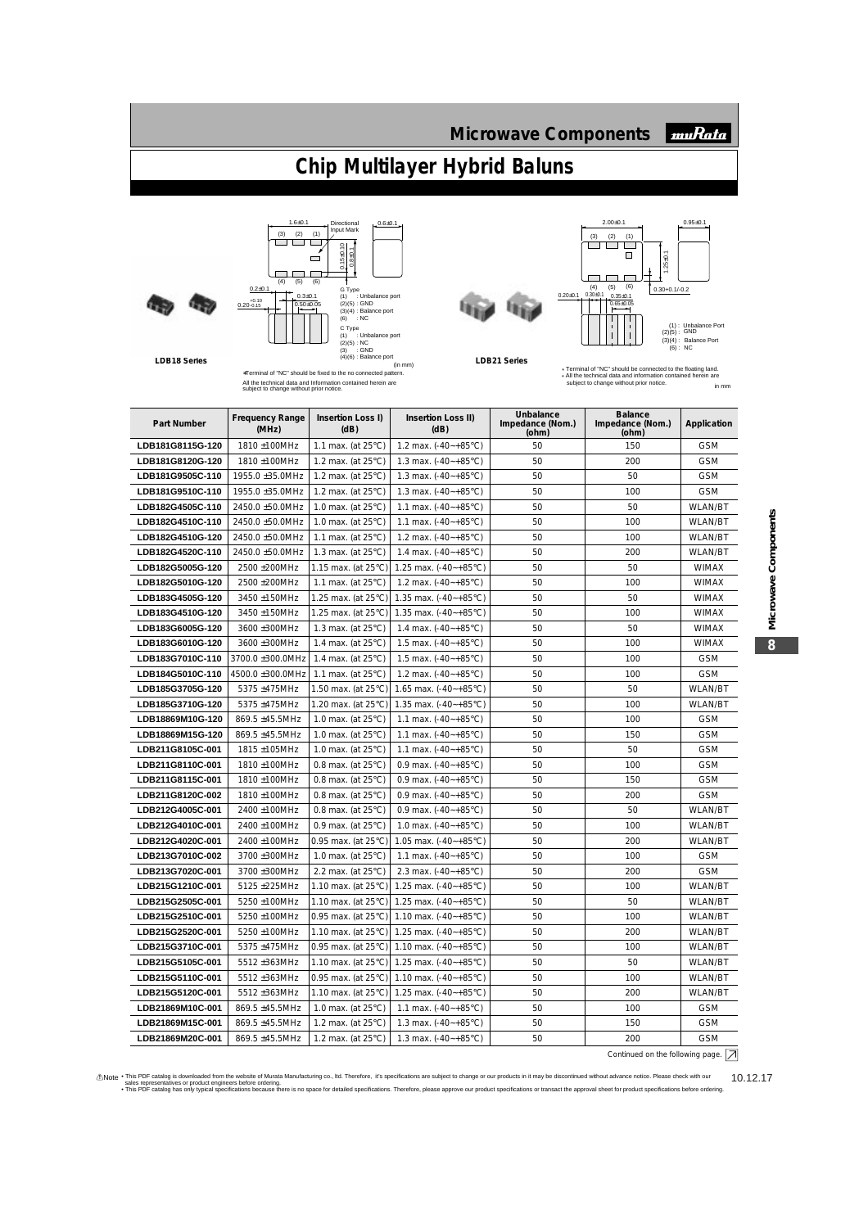## **Chip Multilayer Hybrid Baluns**



**LDB18 Series**



 $1.6 \pm 0.1$ 

All the technical data and Information contained herein are subject to change without prior notice.





| muRata

\* All the technical data and information contained herein are subject to change without prior notice. \* Terminal of "NC" should be connected to the floating land. in mm

| Part Number             | <b>Frequency Range</b><br>(MHz) | Insertion Loss I)<br>(dB)     | Insertion Loss II)<br>(dB)       | Unbalance<br>Impedance (Nom.)<br>(ohm) | <b>Balance</b><br>Impedance (Nom.)<br>(ohm) | Application    |
|-------------------------|---------------------------------|-------------------------------|----------------------------------|----------------------------------------|---------------------------------------------|----------------|
| <b>LDB181G8115G-120</b> | 1810 ±100MHz                    | 1.1 max. (at $25^{\circ}$ C)  | 1.2 max. $(-40 - +85^{\circ}C)$  | 50                                     | 150                                         | <b>GSM</b>     |
| LDB181G8120G-120        | 1810 ±100MHz                    | 1.2 max. (at 25°C)            | 1.3 max. $(-40 - +85^{\circ}C)$  | 50                                     | 200                                         | <b>GSM</b>     |
| LDB181G9505C-110        | 1955.0 ±35.0MHz                 | 1.2 max. (at $25^{\circ}$ C)  | 1.3 max. $(-40 - +85^{\circ}C)$  | 50                                     | 50                                          | <b>GSM</b>     |
| <b>LDB181G9510C-110</b> | 1955.0 ±35.0MHz                 | 1.2 max. (at $25^{\circ}$ C)  | 1.3 max. $(-40 - +85^{\circ}C)$  | 50                                     | 100                                         | <b>GSM</b>     |
| <b>LDB182G4505C-110</b> | 2450.0 ±50.0MHz                 | 1.0 max. (at $25^{\circ}$ C)  | 1.1 max. $(-40 - +85^{\circ}C)$  | 50                                     | 50                                          | <b>WLAN/BT</b> |
| LDB182G4510C-110        | 2450.0 ±50.0MHz                 | 1.0 max. (at $25^{\circ}$ C)  | 1.1 max. $(-40 - +85^{\circ}C)$  | 50                                     | 100                                         | WLAN/BT        |
| LDB182G4510G-120        | 2450.0 ±50.0MHz                 | 1.1 max. (at $25^{\circ}$ C)  | 1.2 max. $(-40 - +85^{\circ}C)$  | 50                                     | 100                                         | <b>WLAN/BT</b> |
| <b>LDB182G4520C-110</b> | 2450.0 ±50.0MHz                 | 1.3 max. (at $25^{\circ}$ C)  | 1.4 max. $(-40 - +85^{\circ}C)$  | 50                                     | 200                                         | <b>WLAN/BT</b> |
| LDB182G5005G-120        | 2500 ±200MHz                    | 1.15 max. (at $25^{\circ}$ C) | 1.25 max. $(-40 - +85^{\circ}C)$ | 50                                     | 50                                          | WIMAX          |
| <b>LDB182G5010G-120</b> | 2500 ±200MHz                    | 1.1 max. (at $25^{\circ}$ C)  | 1.2 max. $(-40 - +85^{\circ}C)$  | 50                                     | 100                                         | <b>WIMAX</b>   |
| <b>LDB183G4505G-120</b> | 3450 ±150MHz                    | 1.25 max. (at $25^{\circ}$ C) | 1.35 max. $(-40 - +85^{\circ}C)$ | 50                                     | 50                                          | <b>WIMAX</b>   |
| LDB183G4510G-120        | 3450 ±150MHz                    | 1.25 max. (at $25^{\circ}$ C) | 1.35 max. $(-40 - +85^{\circ}C)$ | 50                                     | 100                                         | <b>WIMAX</b>   |
| <b>LDB183G6005G-120</b> | 3600 ±300MHz                    | 1.3 max. (at $25^{\circ}$ C)  | 1.4 max. $(-40 - +85^{\circ}C)$  | 50                                     | 50                                          | <b>WIMAX</b>   |
| <b>LDB183G6010G-120</b> | 3600 ±300MHz                    | 1.4 max. (at $25^{\circ}$ C)  | 1.5 max. $(-40 - +85^{\circ}C)$  | 50                                     | 100                                         | <b>WIMAX</b>   |
| LDB183G7010C-110        | 3700.0 ±300.0MHz                | 1.4 max. (at $25^{\circ}$ C)  | 1.5 max. $(-40 - +85^{\circ}C)$  | 50                                     | 100                                         | <b>GSM</b>     |
| <b>LDB184G5010C-110</b> | 4500.0 ±300.0MHz                | 1.1 max. (at $25^{\circ}$ C)  | 1.2 max. $(-40 - +85^{\circ}C)$  | 50                                     | 100                                         | <b>GSM</b>     |
| <b>LDB185G3705G-120</b> | 5375 ±475MHz                    | 1.50 max. (at $25^{\circ}$ C) | 1.65 max. $(-40 - +85^{\circ}C)$ | 50                                     | 50                                          | <b>WLAN/BT</b> |
| LDB185G3710G-120        | 5375 ±475MHz                    | 1.20 max. (at $25^{\circ}$ C) | 1.35 max. $(-40 - +85^{\circ}C)$ | 50                                     | 100                                         | <b>WLAN/BT</b> |
| LDB18869M10G-120        | 869.5 ±45.5MHz                  | 1.0 max. (at $25^{\circ}$ C)  | 1.1 max. $(-40 - +85^{\circ}C)$  | 50                                     | 100                                         | <b>GSM</b>     |
| <b>LDB18869M15G-120</b> | 869.5 ±45.5MHz                  | 1.0 max. (at $25^{\circ}$ C)  | 1.1 max. $(-40 - +85^{\circ}C)$  | 50                                     | 150                                         | <b>GSM</b>     |
| LDB211G8105C-001        | 1815 ±105MHz                    | 1.0 max. (at $25^{\circ}$ C)  | 1.1 max. $(-40 - +85^{\circ}C)$  | 50                                     | 50                                          | <b>GSM</b>     |
| LDB211G8110C-001        | 1810 ±100MHz                    | 0.8 max. (at $25^{\circ}$ C)  | 0.9 max. $(-40 - +85^{\circ}C)$  | 50                                     | 100                                         | <b>GSM</b>     |
| LDB211G8115C-001        | 1810 ±100MHz                    | 0.8 max. (at $25^{\circ}$ C)  | 0.9 max. $(-40 - +85^{\circ}C)$  | 50                                     | 150                                         | <b>GSM</b>     |
| LDB211G8120C-002        | 1810 ±100MHz                    | 0.8 max. (at $25^{\circ}$ C)  | 0.9 max. $(-40 - +85^{\circ}C)$  | 50                                     | 200                                         | <b>GSM</b>     |
| LDB212G4005C-001        | 2400 ±100MHz                    | 0.8 max. (at $25^{\circ}$ C)  | 0.9 max. $(-40 - +85^{\circ}C)$  | 50                                     | 50                                          | <b>WLAN/BT</b> |
| LDB212G4010C-001        | 2400 ±100MHz                    | 0.9 max. (at $25^{\circ}$ C)  | 1.0 max. $(-40 - +85^{\circ}C)$  | 50                                     | 100                                         | <b>WLAN/BT</b> |
| LDB212G4020C-001        | 2400 ±100MHz                    | 0.95 max. (at $25^{\circ}$ C) | 1.05 max. $(-40 - +85^{\circ}C)$ | 50                                     | 200                                         | WLAN/BT        |
| <b>LDB213G7010C-002</b> | 3700 ±300MHz                    | 1.0 max. (at 25°C)            | 1.1 max. $(-40 - +85^{\circ}C)$  | 50                                     | 100                                         | <b>GSM</b>     |
| LDB213G7020C-001        | 3700 ±300MHz                    | 2.2 max. (at $25^{\circ}$ C)  | 2.3 max. $(-40 - +85^{\circ}C)$  | 50                                     | 200                                         | <b>GSM</b>     |
| LDB215G1210C-001        | 5125 ±225MHz                    | 1.10 max. (at $25^{\circ}$ C) | 1.25 max. $(-40 - +85^{\circ}C)$ | 50                                     | 100                                         | WLAN/BT        |
| <b>LDB215G2505C-001</b> | 5250 ±100MHz                    | 1.10 max. (at $25^{\circ}$ C) | 1.25 max. $(-40 - +85^{\circ}C)$ | 50                                     | 50                                          | <b>WLAN/BT</b> |
| LDB215G2510C-001        | 5250 ±100MHz                    | 0.95 max. (at $25^{\circ}$ C) | 1.10 max. $(-40 - +85^{\circ}C)$ | 50                                     | 100                                         | WLAN/BT        |
| LDB215G2520C-001        | 5250 ±100MHz                    | 1.10 max. (at $25^{\circ}$ C) | 1.25 max. $(-40 - +85^{\circ}C)$ | 50                                     | 200                                         | <b>WLAN/BT</b> |
| LDB215G3710C-001        | 5375 ±475MHz                    | 0.95 max. (at $25^{\circ}$ C) | 1.10 max. $(-40 - +85^{\circ}C)$ | 50                                     | 100                                         | <b>WLAN/BT</b> |
| <b>LDB215G5105C-001</b> | 5512 ±363MHz                    | 1.10 max. (at $25^{\circ}$ C) | 1.25 max. $(-40 - +85^{\circ}C)$ | 50                                     | 50                                          | <b>WLAN/BT</b> |
| LDB215G5110C-001        | 5512 ±363MHz                    | 0.95 max. (at $25^{\circ}$ C) | 1.10 max. $(-40 - +85^{\circ}C)$ | 50                                     | 100                                         | WLAN/BT        |
| LDB215G5120C-001        | 5512 ±363MHz                    | 1.10 max. (at $25^{\circ}$ C) | 1.25 max. $(-40 - +85^{\circ}C)$ | 50                                     | 200                                         | WLAN/BT        |
| LDB21869M10C-001        | 869.5 ±45.5MHz                  | 1.0 max. (at $25^{\circ}$ C)  | 1.1 max. $(-40 - +85^{\circ}C)$  | 50                                     | 100                                         | <b>GSM</b>     |

**LDB21869M15C-001** 869.5 ±45.5MHz 1.2 max. (at 25°C) 1.3 max. (-40~+85°C) 50 150 150 50 50 5 5MHz **LDB21869M20C-001** 869.5 ±45.5MHz 1.2 max. (at 25°C) 1.3 max. (-40~+85°C) 50 200 300 SSM

Continued on the following page.  $\boxed{\nearrow}$ 

thote . This PDF catalog is downloaded from the website of Murata Manufacturing co., Itd. Therefore, it's specifications are subject to change or our products in it may be discontinued without advance notice. Please check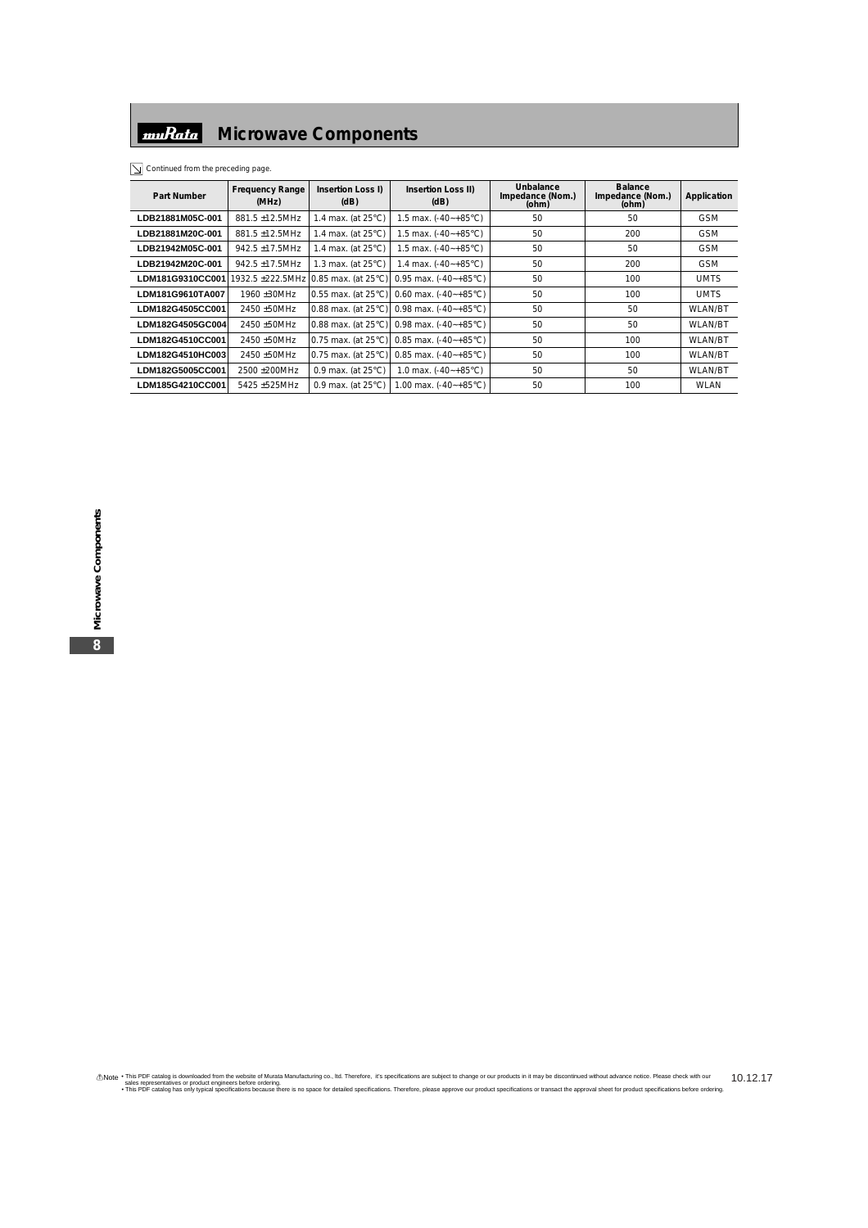**Part Number Frequency Range (MHz) Insertion Loss I) (dB) Insertion Loss II) (dB) Unbalance Impedance (Nom.) (ohm) Balance Impedance (Nom.) (ohm) Application LDB21881M05C-001** 881.5 ±12.5MHz 1.4 max. (at 25°C) 1.5 max. (-40~+85°C) 50 50 50 50 50 **LDB21881M20C-001** 881.5 ±12.5MHz 1.4 max. (at 25°C) 1.5 max. (-40~+85°C) 50 200 200 GSM **LDB21942M05C-001** 942.5 ±17.5MHz 1.4 max. (at 25°C) 1.5 max. (-40~+85°C) 50 50 50 50 50 **LDB21942M20C-001** 942.5 ±17.5MHz 1.3 max. (at 25°C) 1.4 max. (-40~+85°C) 50 50 200 GSM **LDM181G9310CC001** 1932.5 ±222.5MHz 0.85 max. (at 25°C) 0.95 max. (-40~+85°C) 50 100 100 UMTS **LDM181G9610TA007** 1960 ±30MHz 0.55 max. (at 25°C) 0.60 max. (-40~+85°C) 50 100 100 UMTS **LDM182G4505CC001** 2450 ±50MHz 0.88 max. (at 25°C) 0.98 max. (-40~+85°C) 50 50 50 WLAN/BT **LDM182G4505GC004** 2450 ±50MHz 0.88 max. (at 25°C) 0.98 max. (-40~+85°C) 50 50 50 WLAN/BT **LDM182G4510CC001** 2450 ±50MHz 0.75 max. (at 25°C) 0.85 max. (-40~+85°C) 50 100 100 WLAN/BT **LDM182G4510HC003** 2450 ±50MHz 0.75 max. (at 25°C) 0.85 max. (-40~+85°C) 50 100 100 WLAN/BT **LDM182G5005CC001** 2500 ±200MHz 0.9 max. (at 25°C) 1.0 max. (-40~+85°C) 50 50 WLAN/BT **LDM185G4210CC001** 5425 ±525MHz 0.9 max. (at 25°C) 1.00 max. (-40~+85°C) 50 100 100 WLAN

 $\boxed{\searrow}$  Continued from the preceding page.

thote . This PDF catalog is downloaded from the website of Murata Manufacturing co., Itd. Therefore, it's specifications are subject to change or our products in it may be discontinued without advance notice. Please check